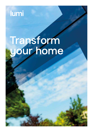

## Transform your home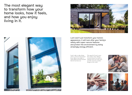Lumi won't just transform your home's appearance, it will look after your family's safety with super-secure features and protect the environment by being amazingly energy efficient.

Lumi's edge to edge design with no vertical or horizontal frame allows more light in. Argon filled and ultra-bonded they let less heat out.

The appeal of Lumi is more than surface deep. Robust security features are built in, making Lumi one of the most security-conscious window designs in the world.





The most elegant way to transform how your home looks, how it feels, and how you enjoy living in it.



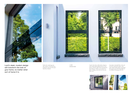Lumi's clean lines add modern elegance and cutting-edge sophistication to your home's exterior. They look amazing from the inside too. With a vast expanse of glass, nothing comes between you and your view.





**Lumi's sleek, modern design**<br>
WINDOWS Department of the state of the state of the state of the state of the state of the state of the state of the state of the state of the state of the state of the state of the state of will transform the look of your home, no matter what sort of home it is.

Perfect for replacing your old windows, Lumi has been designed to slot into the space they leave behind.

LUMI

Lumi glass is bonded flat to the unit structure and fixed in place with super-tight double gasket technology. It's not just great for letting light in, it's brilliant at keeping noise out.



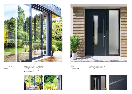Take the inside out; invite the outside in. Available in 2 pane and 4 pane, Lumi lift and slide doors are every bit as stunning as Lumi windows. Equally secure too, with strong locks and robust design features, yet light and effortless to move.









LUMI LIFT & SLIDE DOORS

LUMI SILKA DOOR COLLECTION

We have created a sleek and effortlessly luxurious range of doors called Silka. They make a stylish statement, while complementing your new Lumi windows.